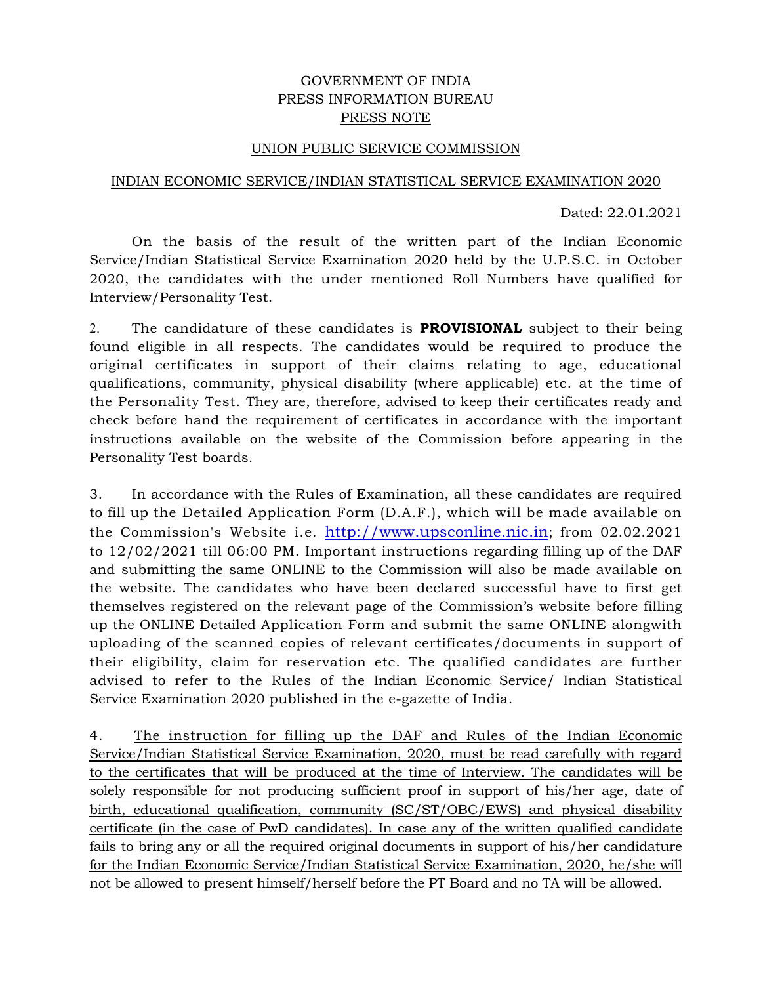## GOVERNMENT OF INDIA PRESS INFORMATION BUREAU PRESS NOTE

## UNION PUBLIC SERVICE COMMISSION

#### INDIAN ECONOMIC SERVICE/INDIAN STATISTICAL SERVICE EXAMINATION 2020

Dated: 22.01.2021

On the basis of the result of the written part of the Indian Economic Service/Indian Statistical Service Examination 2020 held by the U.P.S.C. in October 2020, the candidates with the under mentioned Roll Numbers have qualified for Interview/Personality Test.

2. The candidature of these candidates is **PROVISIONAL** subject to their being found eligible in all respects. The candidates would be required to produce the original certificates in support of their claims relating to age, educational qualifications, community, physical disability (where applicable) etc. at the time of the Personality Test. They are, therefore, advised to keep their certificates ready and check before hand the requirement of certificates in accordance with the important instructions available on the website of the Commission before appearing in the Personality Test boards.

3. In accordance with the Rules of Examination, all these candidates are required to fill up the Detailed Application Form (D.A.F.), which will be made available on the Commission's Website i.e. http://www.upsconline.nic.in; from 02.02.2021 to 12/02/2021 till 06:00 PM. Important instructions regarding filling up of the DAF and submitting the same ONLINE to the Commission will also be made available on the website. The candidates who have been declared successful have to first get themselves registered on the relevant page of the Commission's website before filling up the ONLINE Detailed Application Form and submit the same ONLINE alongwith uploading of the scanned copies of relevant certificates/documents in support of their eligibility, claim for reservation etc. The qualified candidates are further advised to refer to the Rules of the Indian Economic Service/ Indian Statistical Service Examination 2020 published in the e-gazette of India.

4. The instruction for filling up the DAF and Rules of the Indian Economic Service/Indian Statistical Service Examination, 2020, must be read carefully with regard to the certificates that will be produced at the time of Interview. The candidates will be solely responsible for not producing sufficient proof in support of his/her age, date of birth, educational qualification, community (SC/ST/OBC/EWS) and physical disability certificate (in the case of PwD candidates). In case any of the written qualified candidate fails to bring any or all the required original documents in support of his/her candidature for the Indian Economic Service/Indian Statistical Service Examination, 2020, he/she will not be allowed to present himself/herself before the PT Board and no TA will be allowed.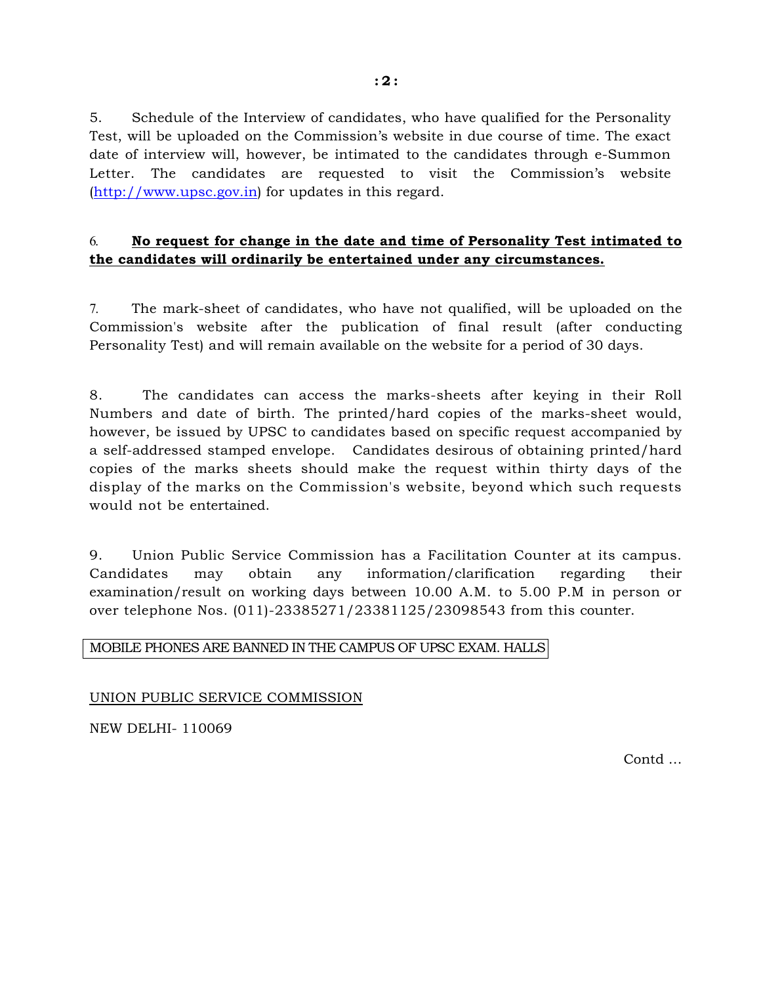5. Schedule of the Interview of candidates, who have qualified for the Personality Test, will be uploaded on the Commission's website in due course of time. The exact date of interview will, however, be intimated to the candidates through e-Summon Letter. The candidates are requested to visit the Commission's website (http://www.upsc.gov.in) for updates in this regard.

# 6. **No request for change in the date and time of Personality Test intimated to the candidates will ordinarily be entertained under any circumstances.**

7. The mark-sheet of candidates, who have not qualified, will be uploaded on the Commission's website after the publication of final result (after conducting Personality Test) and will remain available on the website for a period of 30 days.

8. The candidates can access the marks-sheets after keying in their Roll Numbers and date of birth. The printed/hard copies of the marks-sheet would, however, be issued by UPSC to candidates based on specific request accompanied by a self-addressed stamped envelope. Candidates desirous of obtaining printed/hard copies of the marks sheets should make the request within thirty days of the display of the marks on the Commission's website, beyond which such requests would not be entertained.

9. Union Public Service Commission has a Facilitation Counter at its campus. Candidates may obtain any information/clarification regarding their examination/result on working days between 10.00 A.M. to 5.00 P.M in person or over telephone Nos. (011)-23385271/23381125/23098543 from this counter.

## MOBILE PHONES ARE BANNED IN THE CAMPUS OF UPSC EXAM. HALLS

UNION PUBLIC SERVICE COMMISSION

NEW DELHI- 110069

Contd …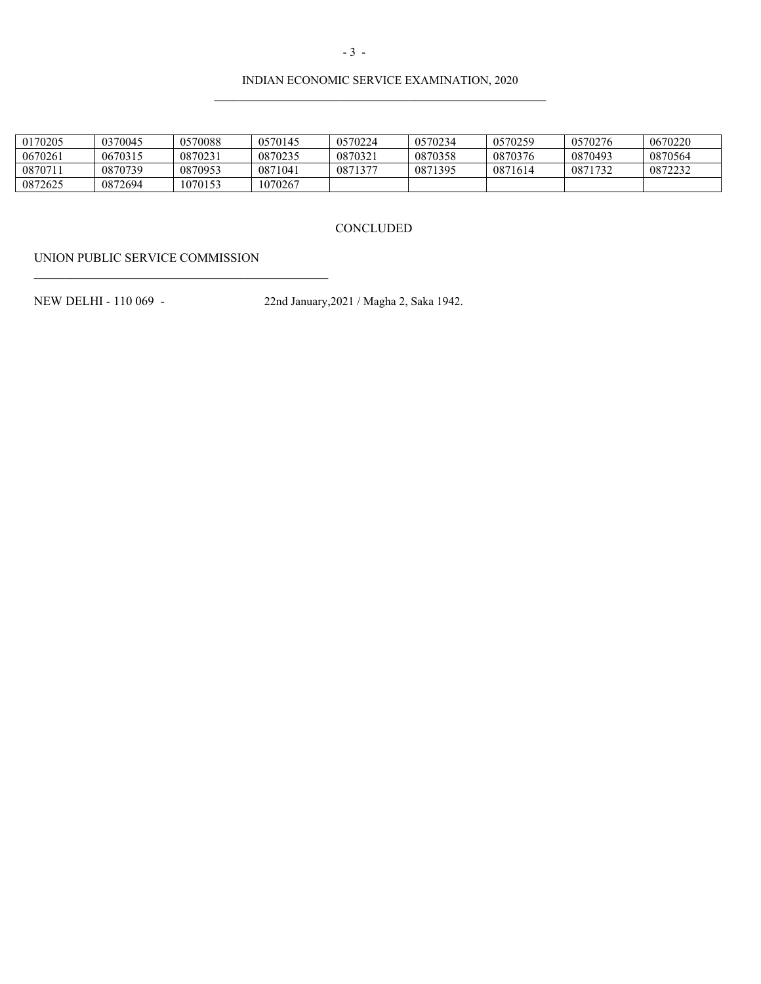### INDIAN ECONOMIC SERVICE EXAMINATION, 2020

| 0170205 | 0370045 | 0570088 | 0570145 | 0570224 | 0570234 | 0570259 | 0570276 | 0670220 |
|---------|---------|---------|---------|---------|---------|---------|---------|---------|
| 0670261 | 0670315 | 0870231 | 0870235 | 0870321 | 0870358 | 0870376 | 0870493 | 0870564 |
| 0870711 | 0870739 | 0870953 | 0871041 | 0871377 | 0871395 | 0871614 | 0871732 | 0872232 |
| 0872625 | 0872694 | 1070153 | 1070267 |         |         |         |         |         |

#### **CONCLUDED**

UNION PUBLIC SERVICE COMMISSION

NEW DELHI - 110 069 - 22nd January,2021 / Magha 2, Saka 1942.